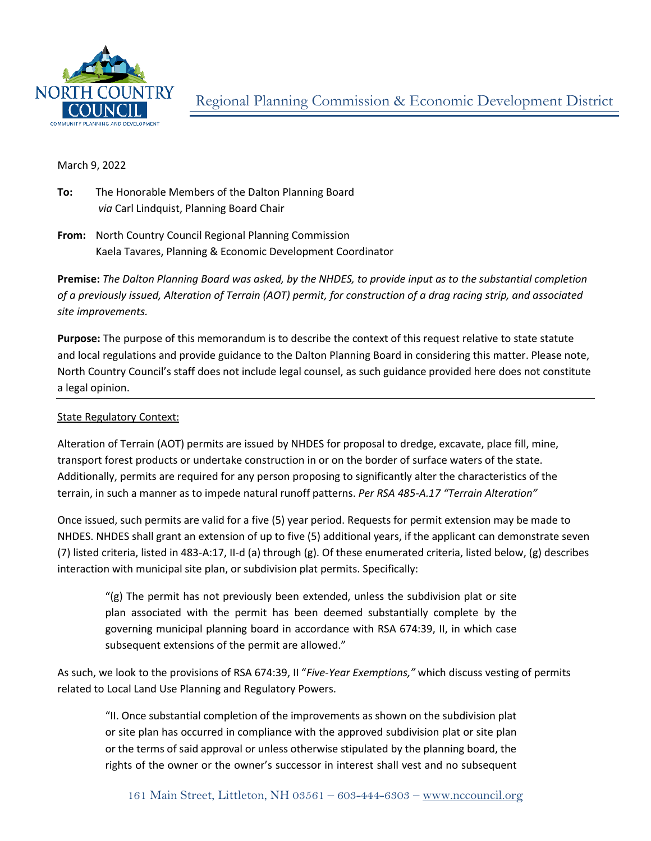

## March 9, 2022

- **To:** The Honorable Members of the Dalton Planning Board  *via* Carl Lindquist, Planning Board Chair
- **From:** North Country Council Regional Planning Commission Kaela Tavares, Planning & Economic Development Coordinator

**Premise:** *The Dalton Planning Board was asked, by the NHDES, to provide input as to the substantial completion of a previously issued, Alteration of Terrain (AOT) permit, for construction of a drag racing strip, and associated site improvements.*

**Purpose:** The purpose of this memorandum is to describe the context of this request relative to state statute and local regulations and provide guidance to the Dalton Planning Board in considering this matter. Please note, North Country Council's staff does not include legal counsel, as such guidance provided here does not constitute a legal opinion.

## State Regulatory Context:

Alteration of Terrain (AOT) permits are issued by NHDES for proposal to dredge, excavate, place fill, mine, transport forest products or undertake construction in or on the border of surface waters of the state. Additionally, permits are required for any person proposing to significantly alter the characteristics of the terrain, in such a manner as to impede natural runoff patterns. *Per RSA 485-A.17 "Terrain Alteration"*

Once issued, such permits are valid for a five (5) year period. Requests for permit extension may be made to NHDES. NHDES shall grant an extension of up to five (5) additional years, if the applicant can demonstrate seven (7) listed criteria, listed in 483-A:17, II-d (a) through (g). Of these enumerated criteria, listed below, (g) describes interaction with municipal site plan, or subdivision plat permits. Specifically:

 $\gamma$ (g) The permit has not previously been extended, unless the subdivision plat or site plan associated with the permit has been deemed substantially complete by the governing municipal planning board in accordance with RSA 674:39, II, in which case subsequent extensions of the permit are allowed."

As such, we look to the provisions of RSA 674:39, II "*Five-Year Exemptions,"* which discuss vesting of permits related to Local Land Use Planning and Regulatory Powers.

"II. Once substantial completion of the improvements as shown on the subdivision plat or site plan has occurred in compliance with the approved subdivision plat or site plan or the terms of said approval or unless otherwise stipulated by the planning board, the rights of the owner or the owner's successor in interest shall vest and no subsequent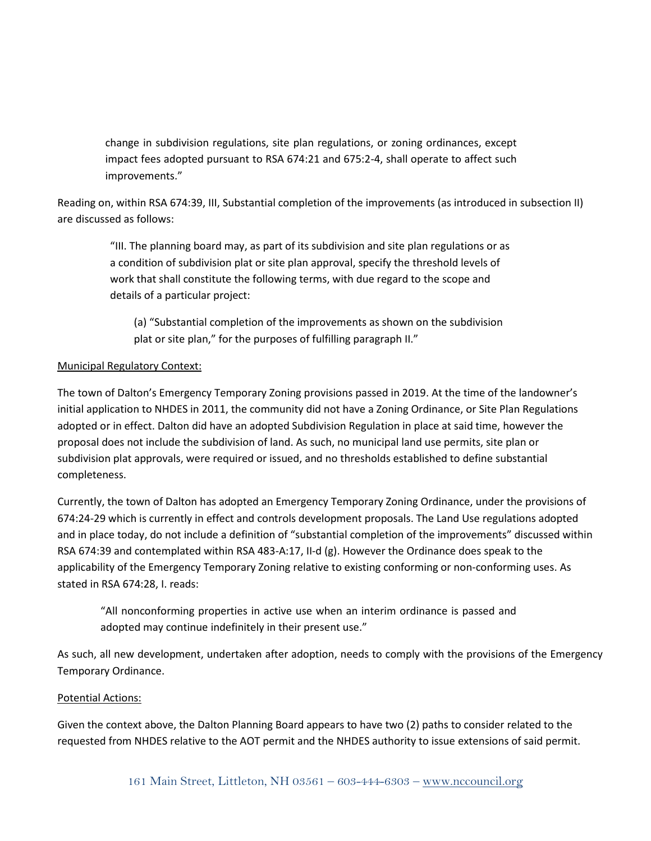change in subdivision regulations, site plan regulations, or zoning ordinances, except impact fees adopted pursuant to RSA 674:21 and 675:2-4, shall operate to affect such improvements."

Reading on, within RSA 674:39, III, Substantial completion of the improvements (as introduced in subsection II) are discussed as follows:

"III. The planning board may, as part of its subdivision and site plan regulations or as a condition of subdivision plat or site plan approval, specify the threshold levels of work that shall constitute the following terms, with due regard to the scope and details of a particular project:

(a) "Substantial completion of the improvements as shown on the subdivision plat or site plan," for the purposes of fulfilling paragraph II."

## Municipal Regulatory Context:

The town of Dalton's Emergency Temporary Zoning provisions passed in 2019. At the time of the landowner's initial application to NHDES in 2011, the community did not have a Zoning Ordinance, or Site Plan Regulations adopted or in effect. Dalton did have an adopted Subdivision Regulation in place at said time, however the proposal does not include the subdivision of land. As such, no municipal land use permits, site plan or subdivision plat approvals, were required or issued, and no thresholds established to define substantial completeness.

Currently, the town of Dalton has adopted an Emergency Temporary Zoning Ordinance, under the provisions of 674:24-29 which is currently in effect and controls development proposals. The Land Use regulations adopted and in place today, do not include a definition of "substantial completion of the improvements" discussed within RSA 674:39 and contemplated within RSA 483-A:17, II-d (g). However the Ordinance does speak to the applicability of the Emergency Temporary Zoning relative to existing conforming or non-conforming uses. As stated in RSA 674:28, I. reads:

"All nonconforming properties in active use when an interim ordinance is passed and adopted may continue indefinitely in their present use."

As such, all new development, undertaken after adoption, needs to comply with the provisions of the Emergency Temporary Ordinance.

## Potential Actions:

Given the context above, the Dalton Planning Board appears to have two (2) paths to consider related to the requested from NHDES relative to the AOT permit and the NHDES authority to issue extensions of said permit.